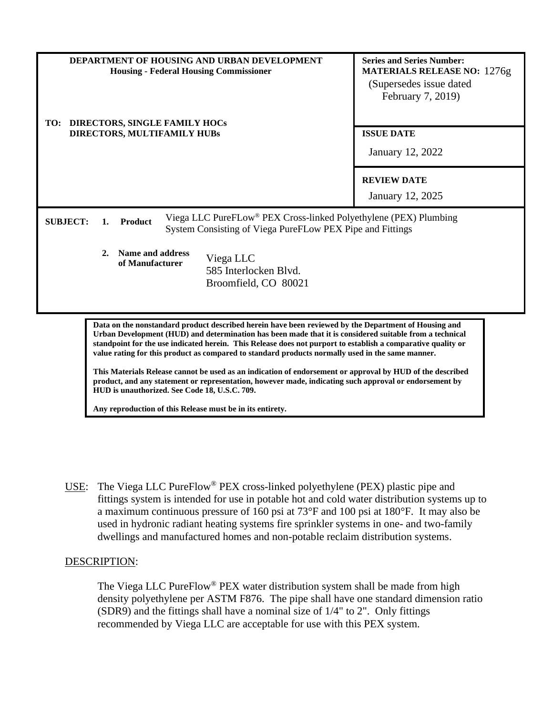| TO:                         | <b>DEPARTMENT OF HOUSING AND URBAN DEVELOPMENT</b><br><b>Housing - Federal Housing Commissioner</b><br><b>DIRECTORS, SINGLE FAMILY HOCS</b> |                                                                                                                                           | <b>Series and Series Number:</b><br><b>MATERIALS RELEASE NO: 1276g</b><br>(Supersedes issue dated)<br>February 7, 2019) |
|-----------------------------|---------------------------------------------------------------------------------------------------------------------------------------------|-------------------------------------------------------------------------------------------------------------------------------------------|-------------------------------------------------------------------------------------------------------------------------|
| DIRECTORS, MULTIFAMILY HUBs |                                                                                                                                             |                                                                                                                                           | <b>ISSUE DATE</b>                                                                                                       |
|                             |                                                                                                                                             |                                                                                                                                           | <b>January 12, 2022</b>                                                                                                 |
|                             |                                                                                                                                             |                                                                                                                                           | <b>REVIEW DATE</b>                                                                                                      |
|                             |                                                                                                                                             |                                                                                                                                           | January 12, 2025                                                                                                        |
| <b>SUBJECT:</b>             | <b>Product</b><br>1.                                                                                                                        | Viega LLC PureFLow <sup>®</sup> PEX Cross-linked Polyethylene (PEX) Plumbing<br>System Consisting of Viega PureFLow PEX Pipe and Fittings |                                                                                                                         |
|                             | Name and address<br>2.<br>of Manufacturer                                                                                                   | Viega LLC<br>585 Interlocken Blvd.<br>Broomfield, CO 80021                                                                                |                                                                                                                         |

**Data on the nonstandard product described herein have been reviewed by the Department of Housing and Urban Development (HUD) and determination has been made that it is considered suitable from a technical standpoint for the use indicated herein. This Release does not purport to establish a comparative quality or value rating for this product as compared to standard products normally used in the same manner.**

**This Materials Release cannot be used as an indication of endorsement or approval by HUD of the described product, and any statement or representation, however made, indicating such approval or endorsement by HUD is unauthorized. See Code 18, U.S.C. 709.**

**Any reproduction of this Release must be in its entirety.**

USE: The Viega LLC PureFlow® PEX cross-linked polyethylene (PEX) plastic pipe and fittings system is intended for use in potable hot and cold water distribution systems up to a maximum continuous pressure of 160 psi at 73°F and 100 psi at 180°F. It may also be used in hydronic radiant heating systems fire sprinkler systems in one- and two-family dwellings and manufactured homes and non-potable reclaim distribution systems.

## DESCRIPTION:

The Viega LLC PureFlow® PEX water distribution system shall be made from high density polyethylene per ASTM F876. The pipe shall have one standard dimension ratio (SDR9) and the fittings shall have a nominal size of 1/4" to 2". Only fittings recommended by Viega LLC are acceptable for use with this PEX system.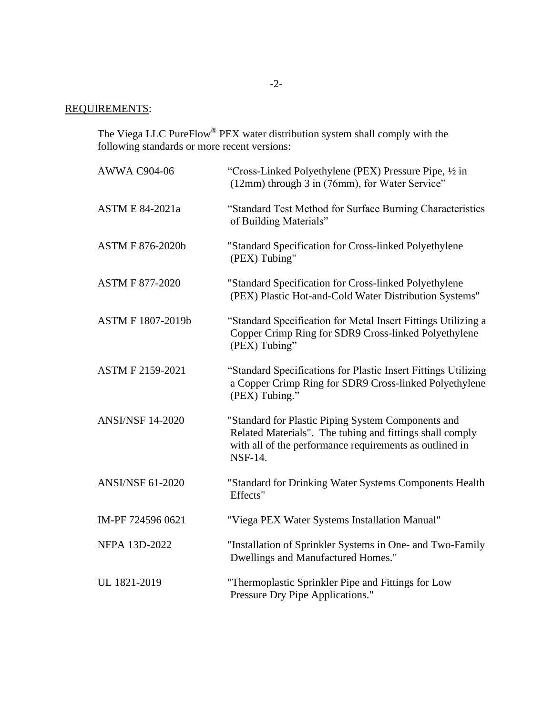# REQUIREMENTS:

The Viega LLC PureFlow<sup>®</sup> PEX water distribution system shall comply with the following standards or more recent versions:

| <b>AWWA C904-06</b>     | "Cross-Linked Polyethylene (PEX) Pressure Pipe, 1/2 in<br>(12mm) through 3 in (76mm), for Water Service"                                                                                    |
|-------------------------|---------------------------------------------------------------------------------------------------------------------------------------------------------------------------------------------|
| <b>ASTM E 84-2021a</b>  | "Standard Test Method for Surface Burning Characteristics<br>of Building Materials"                                                                                                         |
| <b>ASTM F 876-2020b</b> | "Standard Specification for Cross-linked Polyethylene<br>(PEX) Tubing"                                                                                                                      |
| <b>ASTM F 877-2020</b>  | "Standard Specification for Cross-linked Polyethylene<br>(PEX) Plastic Hot-and-Cold Water Distribution Systems"                                                                             |
| ASTM F 1807-2019b       | "Standard Specification for Metal Insert Fittings Utilizing a<br>Copper Crimp Ring for SDR9 Cross-linked Polyethylene<br>(PEX) Tubing"                                                      |
| ASTM F 2159-2021        | "Standard Specifications for Plastic Insert Fittings Utilizing<br>a Copper Crimp Ring for SDR9 Cross-linked Polyethylene<br>(PEX) Tubing."                                                  |
| <b>ANSI/NSF 14-2020</b> | "Standard for Plastic Piping System Components and<br>Related Materials". The tubing and fittings shall comply<br>with all of the performance requirements as outlined in<br><b>NSF-14.</b> |
| <b>ANSI/NSF 61-2020</b> | "Standard for Drinking Water Systems Components Health<br>Effects"                                                                                                                          |
| IM-PF 724596 0621       | "Viega PEX Water Systems Installation Manual"                                                                                                                                               |
| NFPA 13D-2022           | "Installation of Sprinkler Systems in One- and Two-Family<br>Dwellings and Manufactured Homes."                                                                                             |
| UL 1821-2019            | "Thermoplastic Sprinkler Pipe and Fittings for Low<br>Pressure Dry Pipe Applications."                                                                                                      |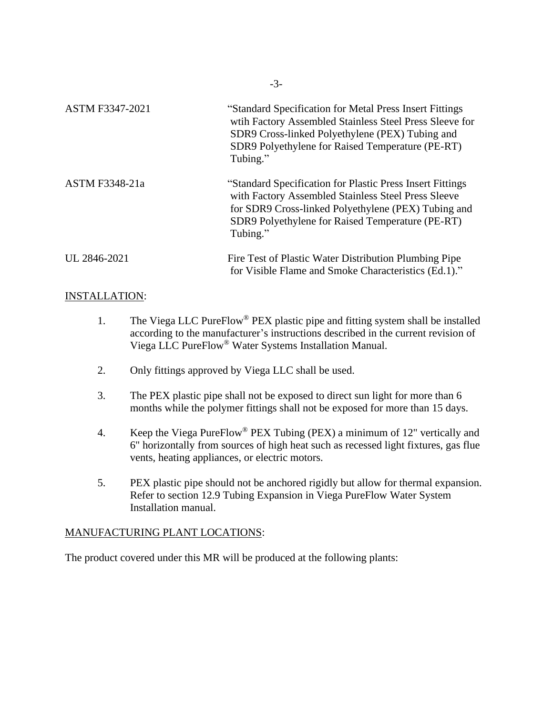| <b>ASTM F3347-2021</b> | "Standard Specification for Metal Press Insert Fittings<br>with Factory Assembled Stainless Steel Press Sleeve for<br>SDR9 Cross-linked Polyethylene (PEX) Tubing and<br>SDR9 Polyethylene for Raised Temperature (PE-RT)<br>Tubing."   |
|------------------------|-----------------------------------------------------------------------------------------------------------------------------------------------------------------------------------------------------------------------------------------|
| ASTM F3348-21a         | "Standard Specification for Plastic Press Insert Fittings<br>with Factory Assembled Stainless Steel Press Sleeve<br>for SDR9 Cross-linked Polyethylene (PEX) Tubing and<br>SDR9 Polyethylene for Raised Temperature (PE-RT)<br>Tubing." |
| UL 2846-2021           | Fire Test of Plastic Water Distribution Plumbing Pipe<br>for Visible Flame and Smoke Characteristics (Ed.1)."                                                                                                                           |

-3-

## INSTALLATION:

- 1. The Viega LLC PureFlow® PEX plastic pipe and fitting system shall be installed according to the manufacturer's instructions described in the current revision of Viega LLC PureFlow® Water Systems Installation Manual.
- 2. Only fittings approved by Viega LLC shall be used.
- 3. The PEX plastic pipe shall not be exposed to direct sun light for more than 6 months while the polymer fittings shall not be exposed for more than 15 days.
- 4. Keep the Viega PureFlow® PEX Tubing (PEX) a minimum of 12" vertically and 6" horizontally from sources of high heat such as recessed light fixtures, gas flue vents, heating appliances, or electric motors.
- 5. PEX plastic pipe should not be anchored rigidly but allow for thermal expansion. Refer to section 12.9 Tubing Expansion in Viega PureFlow Water System Installation manual.

## MANUFACTURING PLANT LOCATIONS:

The product covered under this MR will be produced at the following plants: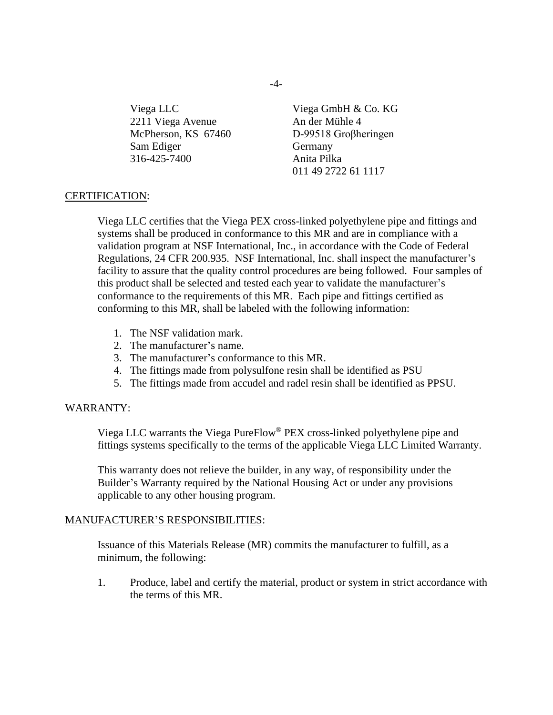2211 Viega Avenue An der Mühle 4 McPherson, KS 67460 D-99518 Groβheringen Sam Ediger Germany 316-425-7400 Anita Pilka

Viega LLC Viega GmbH & Co. KG 011 49 2722 61 1117

#### CERTIFICATION:

Viega LLC certifies that the Viega PEX cross-linked polyethylene pipe and fittings and systems shall be produced in conformance to this MR and are in compliance with a validation program at NSF International, Inc., in accordance with the Code of Federal Regulations, 24 CFR 200.935. NSF International, Inc. shall inspect the manufacturer's facility to assure that the quality control procedures are being followed. Four samples of this product shall be selected and tested each year to validate the manufacturer's conformance to the requirements of this MR. Each pipe and fittings certified as conforming to this MR, shall be labeled with the following information:

- 1. The NSF validation mark.
- 2. The manufacturer's name.
- 3. The manufacturer's conformance to this MR.
- 4. The fittings made from polysulfone resin shall be identified as PSU
- 5. The fittings made from accudel and radel resin shall be identified as PPSU.

#### WARRANTY:

Viega LLC warrants the Viega PureFlow® PEX cross-linked polyethylene pipe and fittings systems specifically to the terms of the applicable Viega LLC Limited Warranty.

This warranty does not relieve the builder, in any way, of responsibility under the Builder's Warranty required by the National Housing Act or under any provisions applicable to any other housing program.

#### MANUFACTURER'S RESPONSIBILITIES:

Issuance of this Materials Release (MR) commits the manufacturer to fulfill, as a minimum, the following:

1. Produce, label and certify the material, product or system in strict accordance with the terms of this MR.

 $-4-$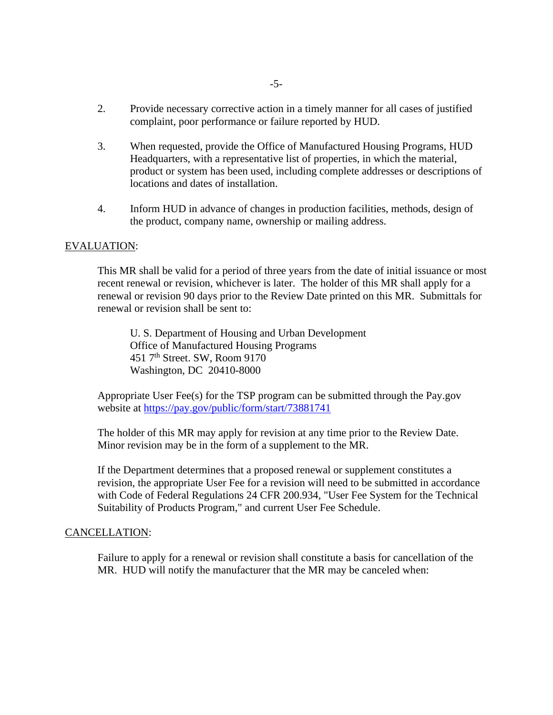- 2. Provide necessary corrective action in a timely manner for all cases of justified complaint, poor performance or failure reported by HUD.
- 3. When requested, provide the Office of Manufactured Housing Programs, HUD Headquarters, with a representative list of properties, in which the material, product or system has been used, including complete addresses or descriptions of locations and dates of installation.
- 4. Inform HUD in advance of changes in production facilities, methods, design of the product, company name, ownership or mailing address.

#### EVALUATION:

This MR shall be valid for a period of three years from the date of initial issuance or most recent renewal or revision, whichever is later. The holder of this MR shall apply for a renewal or revision 90 days prior to the Review Date printed on this MR. Submittals for renewal or revision shall be sent to:

U. S. Department of Housing and Urban Development Office of Manufactured Housing Programs 451 7th Street. SW, Room 9170 Washington, DC 20410-8000

Appropriate User Fee(s) for the TSP program can be submitted through the Pay.gov website at<https://pay.gov/public/form/start/73881741>

The holder of this MR may apply for revision at any time prior to the Review Date. Minor revision may be in the form of a supplement to the MR.

If the Department determines that a proposed renewal or supplement constitutes a revision, the appropriate User Fee for a revision will need to be submitted in accordance with Code of Federal Regulations 24 CFR 200.934, "User Fee System for the Technical Suitability of Products Program," and current User Fee Schedule.

#### CANCELLATION:

Failure to apply for a renewal or revision shall constitute a basis for cancellation of the MR. HUD will notify the manufacturer that the MR may be canceled when: